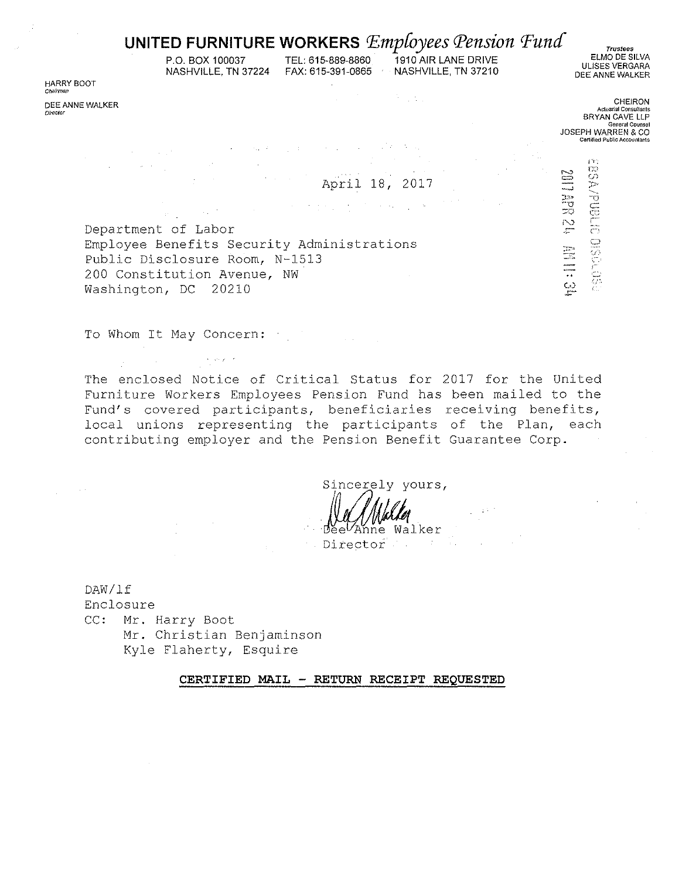## UNITED FURNITURE WORKERS  $Employees$   $Pension$   $Fund$

P.O. BOX 100037 NASHVILLE, TN 37224 TEL: 615-889-8860

 $\mathcal{O}(\log n)$ 

 $\label{eq:2.1} \mathcal{F}(\mathcal{F}) = \mathcal{F}(\mathcal{F}) \mathcal{F}(\mathcal{F}) = \mathcal{F}(\mathcal{F}) \mathcal{F}(\mathcal{F})$ 

1910 AIR LANE DRIVE FAX: 615-391-0865 NASHVILLE, TN 37210

医心室的

**Trustees** ELMO DE SILVA ULISES VERGARA DEE ANNE WALKER

HARRY BOOT Chairman

DEE ANNE WALKER Director

**CHEIRON** Actuarial Consultant BRYAN CAVE LLP General Counse JOSEPH WARREN & CO

**SSPORT COMPLETED** 

**MS NARTIDS** 

ESTERNE

April 18, 2017

 $\sim 10^{11}$  km s  $^{-1}$  .

Department of Labor Employee Benefits Security Administrations Public Disclosure Room, N-1513 200 Constitution Avenue, NW Washington, DC 20210

tia.

To Whom It May Concern:

 $\epsilon$  , and  $\epsilon$  , and

The enclosed Notice of Critical Status for 2017 for the United Furniture Workers Employees Pension Fund has been mailed to the Fund's covered participants, beneficiaries receiving benefits, local unions representing the participants of the Plan, each contributing employer and the Pension Benefit Guarantee Corp.

Sincerely yours,

Anne Walker **Director** Property

DAW/1f Enclosure CC: Mr. Harry Boot Mr. Christian Benjaminson Kyle Flaherty, Esquire

CERTIFIED MAIL - RETURN RECEIPT REQUESTED